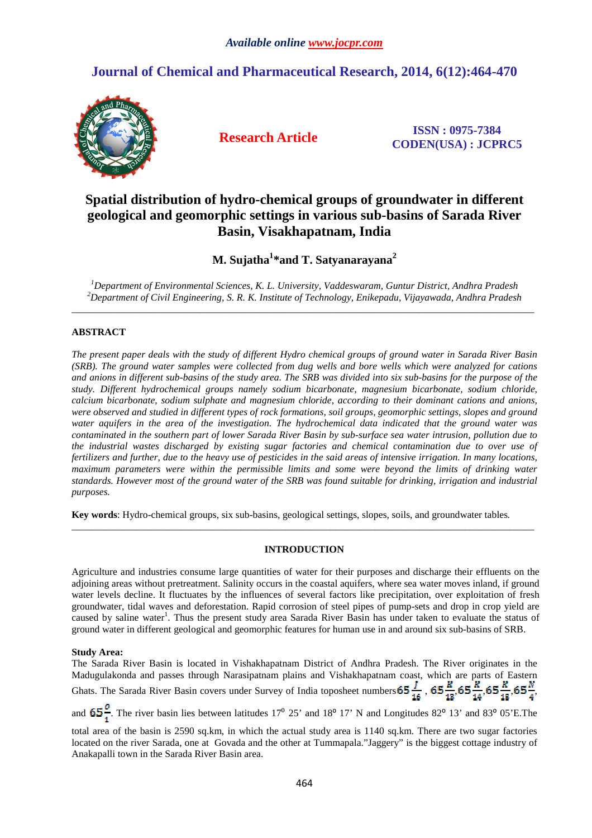# **Journal of Chemical and Pharmaceutical Research, 2014, 6(12):464-470**



**Research Article ISSN : 0975-7384 CODEN(USA) : JCPRC5**

# **Spatial distribution of hydro-chemical groups of groundwater in different geological and geomorphic settings in various sub-basins of Sarada River Basin, Visakhapatnam, India**

**M. Sujatha<sup>1</sup> \*and T. Satyanarayana<sup>2</sup>**

*<sup>1</sup>Department of Environmental Sciences, K. L. University, Vaddeswaram, Guntur District, Andhra Pradesh <sup>2</sup>Department of Civil Engineering, S. R. K. Institute of Technology, Enikepadu, Vijayawada, Andhra Pradesh*  \_\_\_\_\_\_\_\_\_\_\_\_\_\_\_\_\_\_\_\_\_\_\_\_\_\_\_\_\_\_\_\_\_\_\_\_\_\_\_\_\_\_\_\_\_\_\_\_\_\_\_\_\_\_\_\_\_\_\_\_\_\_\_\_\_\_\_\_\_\_\_\_\_\_\_\_\_\_\_\_\_\_\_\_\_\_\_\_\_\_\_\_\_

# **ABSTRACT**

*The present paper deals with the study of different Hydro chemical groups of ground water in Sarada River Basin (SRB). The ground water samples were collected from dug wells and bore wells which were analyzed for cations and anions in different sub-basins of the study area. The SRB was divided into six sub-basins for the purpose of the study. Different hydrochemical groups namely sodium bicarbonate, magnesium bicarbonate, sodium chloride, calcium bicarbonate, sodium sulphate and magnesium chloride, according to their dominant cations and anions, were observed and studied in different types of rock formations, soil groups, geomorphic settings, slopes and ground water aquifers in the area of the investigation. The hydrochemical data indicated that the ground water was contaminated in the southern part of lower Sarada River Basin by sub-surface sea water intrusion, pollution due to the industrial wastes discharged by existing sugar factories and chemical contamination due to over use of fertilizers and further, due to the heavy use of pesticides in the said areas of intensive irrigation. In many locations, maximum parameters were within the permissible limits and some were beyond the limits of drinking water standards. However most of the ground water of the SRB was found suitable for drinking, irrigation and industrial purposes.* 

**Key words**: Hydro-chemical groups, six sub-basins, geological settings, slopes, soils, and groundwater tables*.* 

# **INTRODUCTION**

\_\_\_\_\_\_\_\_\_\_\_\_\_\_\_\_\_\_\_\_\_\_\_\_\_\_\_\_\_\_\_\_\_\_\_\_\_\_\_\_\_\_\_\_\_\_\_\_\_\_\_\_\_\_\_\_\_\_\_\_\_\_\_\_\_\_\_\_\_\_\_\_\_\_\_\_\_\_\_\_\_\_\_\_\_\_\_\_\_\_\_\_\_

Agriculture and industries consume large quantities of water for their purposes and discharge their effluents on the adjoining areas without pretreatment. Salinity occurs in the coastal aquifers, where sea water moves inland, if ground water levels decline. It fluctuates by the influences of several factors like precipitation, over exploitation of fresh groundwater, tidal waves and deforestation. Rapid corrosion of steel pipes of pump-sets and drop in crop yield are caused by saline water<sup>1</sup>. Thus the present study area Sarada River Basin has under taken to evaluate the status of ground water in different geological and geomorphic features for human use in and around six sub-basins of SRB.

## **Study Area:**

The Sarada River Basin is located in Vishakhapatnam District of Andhra Pradesh. The River originates in the Madugulakonda and passes through Narasipatnam plains and Vishakhapatnam coast, which are parts of Eastern Ghats. The Sarada River Basin covers under Survey of India toposheet numbers  $65\frac{1}{16}$ , ,  $65\frac{1}{16}$ ,  $65\frac{1}{16}$ ,  $65\frac{1}{16}$ ,  $65\frac{1}{16}$ 

and  $65\frac{0}{1}$ . The river basin lies between latitudes 17<sup>0</sup> 25' and 18<sup>o</sup> 17' N and Longitudes 82<sup>o</sup> 13' and 83<sup>o</sup> 05'E. The

total area of the basin is 2590 sq.km, in which the actual study area is 1140 sq.km. There are two sugar factories located on the river Sarada, one at Govada and the other at Tummapala."Jaggery" is the biggest cottage industry of Anakapalli town in the Sarada River Basin area.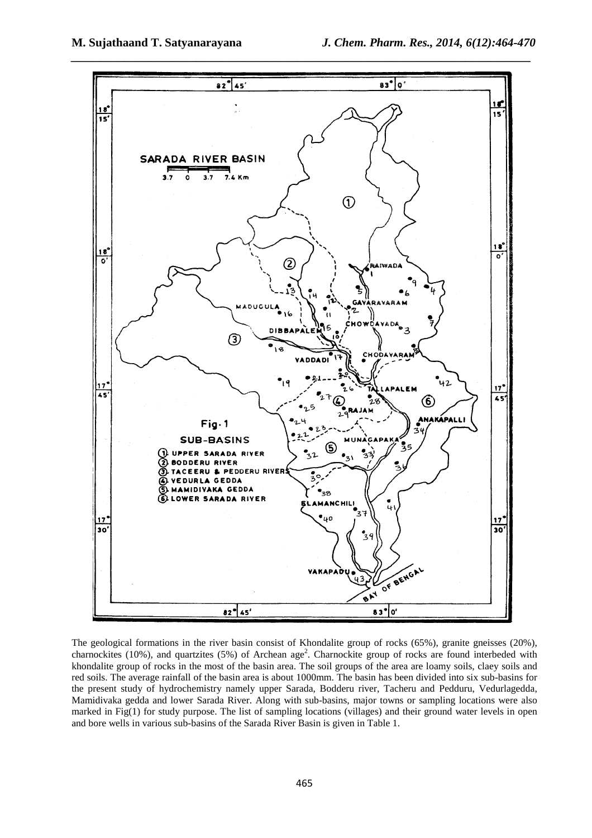

The geological formations in the river basin consist of Khondalite group of rocks (65%), granite gneisses (20%), charnockites (10%), and quartzites (5%) of Archean age<sup>2</sup>. Charnockite group of rocks are found interbeded with khondalite group of rocks in the most of the basin area. The soil groups of the area are loamy soils, claey soils and red soils. The average rainfall of the basin area is about 1000mm. The basin has been divided into six sub-basins for the present study of hydrochemistry namely upper Sarada, Bodderu river, Tacheru and Pedduru, Vedurlagedda, Mamidivaka gedda and lower Sarada River. Along with sub-basins, major towns or sampling locations were also marked in Fig(1) for study purpose. The list of sampling locations (villages) and their ground water levels in open and bore wells in various sub-basins of the Sarada River Basin is given in Table 1.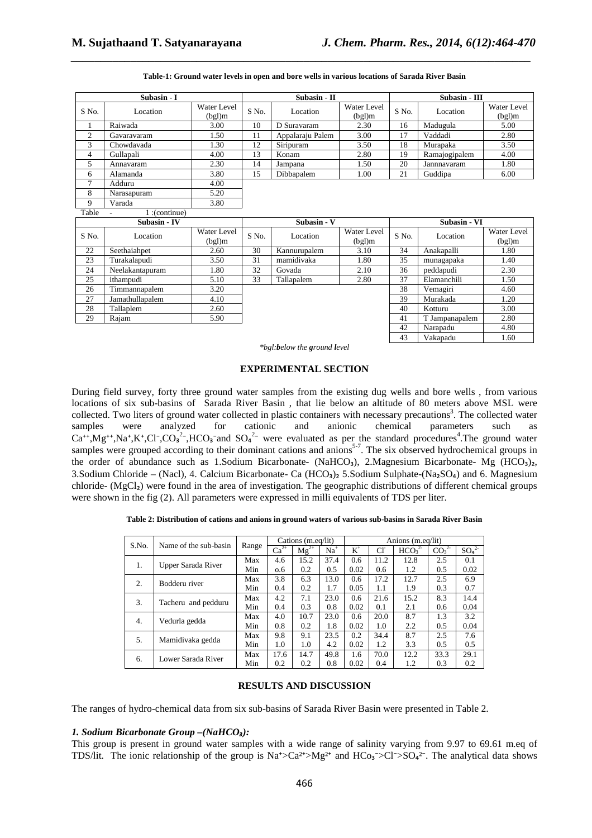42 Narapadu 4.80 43 Vakapadu 1.60

| Subasin - I            |              |                       |                        | Subasin - II      |                       |       | Subasin - III   |                       |  |  |
|------------------------|--------------|-----------------------|------------------------|-------------------|-----------------------|-------|-----------------|-----------------------|--|--|
| S No.                  | Location     | Water Level<br>(bgl)m | S No.                  | Location          | Water Level<br>(bgl)m | S No. | Location        | Water Level<br>(bgl)m |  |  |
| 1                      | Raiwada      | 3.00                  | 10                     | D Suravaram       | 2.30                  | 16    | Madugula        | 5.00                  |  |  |
| 2                      | Gavaravaram  | 1.50                  | 11<br>Appalaraju Palem |                   | 3.00                  | 17    | Vaddadi<br>2.80 |                       |  |  |
| 3                      | Chowdavada   | 1.30                  | 12                     | Siripuram<br>3.50 |                       | 18    | Murapaka        | 3.50                  |  |  |
| 4                      | Gullapali    | 4.00                  | 13                     | Konam             | 2.80                  | 19    | Ramajogipalem   | 4.00                  |  |  |
| 5.                     | Annavaram    | 2.30                  | 14                     | Jampana           | 1.50                  | 20    | Jannnavaram     | 1.80                  |  |  |
| 6                      | Alamanda     | 3.80                  | 15                     | Dibbapalem        | 1.00                  | 21    | Guddipa         | 6.00                  |  |  |
| 7                      | Adduru       | 4.00                  |                        |                   |                       |       |                 |                       |  |  |
| 8                      | Narasapuram  | 5.20                  |                        |                   |                       |       |                 |                       |  |  |
| 9                      | Varada       | 3.80                  |                        |                   |                       |       |                 |                       |  |  |
| Table<br>(continue): 1 |              |                       |                        |                   |                       |       |                 |                       |  |  |
| <b>Subasin - IV</b>    |              |                       |                        | Subasin - V       |                       |       | Subasin - VI    |                       |  |  |
| S No.                  | Location     | Water Level<br>(bgl)m | S No.                  | Location          | Water Level<br>(bgl)m | S No. | Location        | Water Level<br>(bgl)m |  |  |
| 22                     | Seethaiahpet | 2.60                  | 30                     | Kannurupalem      | 3.10                  | 34    | Anakapalli      | 1.80                  |  |  |
| 23                     | Turakalapudi | 3.50                  | 31                     | mamidivaka        | 1.80                  | 35    | munagapaka      | 1.40                  |  |  |

**Table-1: Ground water levels in open and bore wells in various locations of Sarada River Basin**

*\_\_\_\_\_\_\_\_\_\_\_\_\_\_\_\_\_\_\_\_\_\_\_\_\_\_\_\_\_\_\_\_\_\_\_\_\_\_\_\_\_\_\_\_\_\_\_\_\_\_\_\_\_\_\_\_\_\_\_\_\_\_\_\_\_\_\_\_\_\_\_\_\_\_\_\_\_*

*\*bgl:below the ground level* 

24 Neelakantapuram 1.80 32 Govada 2.10 36 peddapudi 2.30<br>25 ithampudi 5.10 33 Tallapalem 2.80 37 Elamanchili 1.50 25 ithampudi 5.10 33 Tallapalem 2.80 37 Elamanchili 1.50 26 Timmannapalem 3.20 38 Vemagiri 4.60<br>27 Jamathullapalem 4.10 39 Murakada 1.20 27 Jamathullapalem 4.10 39 Murakada 1.20 28 Tallaplem 2.60 40 Kotturu 3.00 29 Rajam 5.90 41 T Jampanapalem 2.80

#### **EXPERIMENTAL SECTION**

During field survey, forty three ground water samples from the existing dug wells and bore wells , from various locations of six sub-basins of Sarada River Basin , that lie below an altitude of 80 meters above MSL were collected. Two liters of ground water collected in plastic containers with necessary precautions<sup>3</sup>. The collected water samples were analyzed for cationic and anionic chemical parameters such as  $Ca^{++}$ ,Mg<sup>++</sup>,Na<sup>+</sup>,K<sup>+</sup>,Cl<sup>-</sup>,CO<sub>3</sub><sup>2</sup>-,HCO<sub>3</sub><sup>-</sup>and SO<sub>4</sub><sup>2-</sup> were evaluated as per the standard procedures<sup>4</sup>. The ground water samples were grouped according to their dominant cations and anions<sup>5-7</sup>. The six observed hydrochemical groups in the order of abundance such as 1.Sodium Bicarbonate- (NaHCO<sub>3</sub>), 2.Magnesium Bicarbonate- Mg (HCO<sub>3</sub>)<sub>2</sub>, 3. Sodium Chloride – (Nacl), 4. Calcium Bicarbonate- Ca (HCO<sub>3</sub>)<sub>2</sub> 5. Sodium Sulphate-(Na<sub>2</sub>SO<sub>4</sub>) and 6. Magnesium chloride- (MgCl₂) were found in the area of investigation. The geographic distributions of different chemical groups were shown in the fig (2). All parameters were expressed in milli equivalents of TDS per liter.

**Table 2: Distribution of cations and anions in ground waters of various sub-basins in Sarada River Basin** 

|       | Name of the sub-basin | Range | Cations (m.eq/lit) |                  |       | Anions (m.eq/lit) |      |                               |                              |          |
|-------|-----------------------|-------|--------------------|------------------|-------|-------------------|------|-------------------------------|------------------------------|----------|
| S.No. |                       |       | $Ca2+$             | $\text{Mg}^{2+}$ | $Na+$ | $K^+$             | Cŀ   | HCO <sub>3</sub> <sup>2</sup> | CO <sub>3</sub> <sup>2</sup> | $SO_4^2$ |
| 1.    | Upper Sarada River    | Max   | 4.6                | 15.2             | 37.4  | 0.6               | 11.2 | 12.8                          | 2.5                          | 0.1      |
|       |                       | Min   | 0.6                | 0.2              | 0.5   | 0.02              | 0.6  | 1.2                           | 0.5                          | 0.02     |
| 2.    | Bodderu river         | Max   | 3.8                | 6.3              | 13.0  | 0.6               | 17.2 | 12.7                          | 2.5                          | 6.9      |
|       |                       | Min   | 0.4                | 0.2              | 1.7   | 0.05              | 1.1  | 1.9                           | 0.3                          | 0.7      |
| 3.    | Tacheru and pedduru   | Max   | 4.2                | 7.1              | 23.0  | 0.6               | 21.6 | 15.2                          | 8.3                          | 14.4     |
|       |                       | Min   | 0.4                | 0.3              | 0.8   | 0.02              | 0.1  | 2.1                           | 0.6                          | 0.04     |
| 4.    | Vedurla gedda         | Max   | 4.0                | 10.7             | 23.0  | 0.6               | 20.0 | 8.7                           | 1.3                          | 3.2      |
|       |                       | Min   | 0.8                | 0.2              | 1.8   | 0.02              | 1.0  | 2.2                           | 0.5                          | 0.04     |
| 5.    | Mamidivaka gedda      | Max   | 9.8                | 9.1              | 23.5  | 0.2               | 34.4 | 8.7                           | 2.5                          | 7.6      |
|       |                       | Min   | 1.0                | 1.0              | 4.2   | 0.02              | 1.2  | 3.3                           | 0.5                          | 0.5      |
| 6.    | Lower Sarada River    | Max   | 17.6               | 14.7             | 49.8  | 1.6               | 70.0 | 12.2                          | 33.3                         | 29.1     |
|       |                       | Min   | 0.2                | 0.2              | 0.8   | 0.02              | 0.4  | 1.2                           | 0.3                          | 0.2      |

#### **RESULTS AND DISCUSSION**

The ranges of hydro-chemical data from six sub-basins of Sarada River Basin were presented in Table 2.

## *1. Sodium Bicarbonate Group –(NaHCO₃):*

This group is present in ground water samples with a wide range of salinity varying from 9.97 to 69.61 m.eq of TDS/lit. The ionic relationship of the group is  $\text{Na}^{\star} > \text{Ca}^{2\star} > \text{Mg}^{2\star}$  and  $\text{HCo}_3 > \text{Cl}^{\star} > \text{SO}_4{}^{2\star}$ . The analytical data shows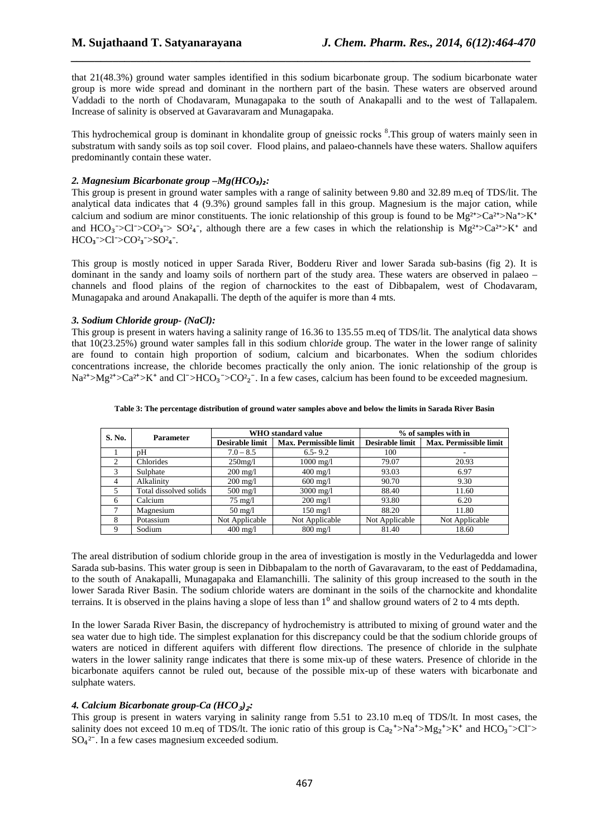that 21(48.3%) ground water samples identified in this sodium bicarbonate group. The sodium bicarbonate water group is more wide spread and dominant in the northern part of the basin. These waters are observed around Vaddadi to the north of Chodavaram, Munagapaka to the south of Anakapalli and to the west of Tallapalem. Increase of salinity is observed at Gavaravaram and Munagapaka.

*\_\_\_\_\_\_\_\_\_\_\_\_\_\_\_\_\_\_\_\_\_\_\_\_\_\_\_\_\_\_\_\_\_\_\_\_\_\_\_\_\_\_\_\_\_\_\_\_\_\_\_\_\_\_\_\_\_\_\_\_\_\_\_\_\_\_\_\_\_\_\_\_\_\_\_\_\_*

This hydrochemical group is dominant in khondalite group of gneissic rocks <sup>8</sup>. This group of waters mainly seen in substratum with sandy soils as top soil cover. Flood plains, and palaeo-channels have these waters. Shallow aquifers predominantly contain these water.

## *2. Magnesium Bicarbonate group –Mg(HCO₃)₂:*

This group is present in ground water samples with a range of salinity between 9.80 and 32.89 m.eq of TDS/lit. The analytical data indicates that 4 (9.3%) ground samples fall in this group. Magnesium is the major cation, while calcium and sodium are minor constituents. The ionic relationship of this group is found to be  $Mg^{2+} > Ca^{2+} > Na^+ > K^+$ and  $HCO_3 > Cl > CO^2$ ,  $SO^2_4$ , although there are a few cases in which the relationship is  $Mg^{2+} > Ca^{2+} > K^+$  and  $HCO<sub>3</sub> > Cl<sup>-</sup> > CO<sup>2</sup> <sub>3</sub> > SO<sup>2</sup> <sub>4</sub>$ .

This group is mostly noticed in upper Sarada River, Bodderu River and lower Sarada sub-basins (fig 2). It is dominant in the sandy and loamy soils of northern part of the study area. These waters are observed in palaeo – channels and flood plains of the region of charnockites to the east of Dibbapalem, west of Chodavaram, Munagapaka and around Anakapalli. The depth of the aquifer is more than 4 mts.

#### *3. Sodium Chloride group- (NaCl):*

This group is present in waters having a salinity range of 16.36 to 135.55 m.eq of TDS/lit. The analytical data shows that 10(23.25%) ground water samples fall in this sodium chlo*rid*e group. The water in the lower range of salinity are found to contain high proportion of sodium, calcium and bicarbonates. When the sodium chlorides concentrations increase, the chloride becomes practically the only anion. The ionic relationship of the group is  $Na^{2+} > Mg^{2+} > Ca^{2+} > K^+$  and Cl<sup> $-$ </sup>>HCO<sub>3</sub><sup> $-$ </sup>>CO<sup>2</sup><sub>2</sub><sup> $-$ </sup>. In a few cases, calcium has been found to be exceeded magnesium.

| S. No. | <b>Parameter</b>       |                        | <b>WHO</b> standard value | % of samples with in   |                        |  |
|--------|------------------------|------------------------|---------------------------|------------------------|------------------------|--|
|        |                        | <b>Desirable limit</b> | Max. Permissible limit    | <b>Desirable limit</b> | Max. Permissible limit |  |
|        | pН                     | $7.0 - 8.5$            | $6.5 - 9.2$               | 100                    |                        |  |
| 2      | Chlorides              | $250$ mg/l             | $1000 \,\mathrm{mg}/l$    | 79.07                  | 20.93                  |  |
| 3      | Sulphate               | $200 \text{ mg}/1$     | $400 \text{ mg}/1$        | 93.03                  | 6.97                   |  |
| 4      | Alkalinity             | $200 \text{ mg}/1$     | $600 \text{ mg/l}$        | 90.70                  | 9.30                   |  |
| 5      | Total dissolved solids | $500 \text{ mg}/1$     | $3000 \,\mathrm{mg}/l$    | 88.40                  | 11.60                  |  |
| 6      | Calcium                | $75 \text{ mg}/1$      | $200 \text{ mg}/1$        | 93.80                  | 6.20                   |  |
|        | Magnesium              | $50 \text{ mg}/1$      | $150 \text{ mg}/1$        | 88.20                  | 11.80                  |  |
| 8      | Potassium              | Not Applicable         | Not Applicable            | Not Applicable         | Not Applicable         |  |
| 9      | Sodium                 | $400 \text{ mg/l}$     | $800$ mg/l                | 81.40                  | 18.60                  |  |

#### **Table 3: The percentage distribution of ground water samples above and below the limits in Sarada River Basin**

The areal distribution of sodium chloride group in the area of investigation is mostly in the Vedurlagedda and lower Sarada sub-basins. This water group is seen in Dibbapalam to the north of Gavaravaram, to the east of Peddamadina, to the south of Anakapalli, Munagapaka and Elamanchilli. The salinity of this group increased to the south in the lower Sarada River Basin. The sodium chloride waters are dominant in the soils of the charnockite and khondalite terrains. It is observed in the plains having a slope of less than  $1<sup>0</sup>$  and shallow ground waters of 2 to 4 mts depth.

In the lower Sarada River Basin, the discrepancy of hydrochemistry is attributed to mixing of ground water and the sea water due to high tide. The simplest explanation for this discrepancy could be that the sodium chloride groups of waters are noticed in different aquifers with different flow directions. The presence of chloride in the sulphate waters in the lower salinity range indicates that there is some mix-up of these waters. Presence of chloride in the bicarbonate aquifers cannot be ruled out, because of the possible mix-up of these waters with bicarbonate and sulphate waters.

## *4. Calcium Bicarbonate group-Ca (HCO*₃*)*₂*:*

This group is present in waters varying in salinity range from 5.51 to 23.10 m.eq of TDS/lt. In most cases, the salinity does not exceed 10 m.eq of TDS/lt. The ionic ratio of this group is  $Ca_2^+>Na^+>Mg_2^+>K^+$  and  $HCO_3^->Cl^->$  $SO_4^2$ . In a few cases magnesium exceeded sodium.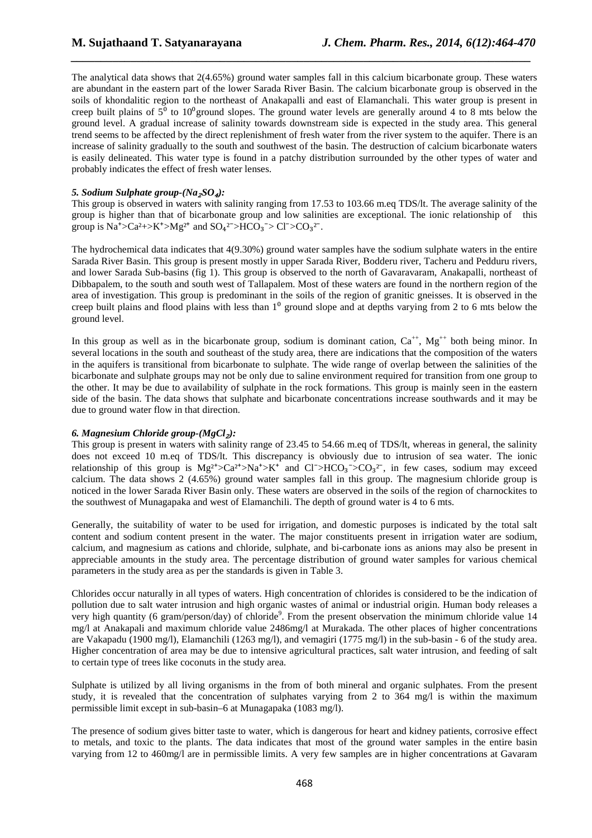The analytical data shows that 2(4.65%) ground water samples fall in this calcium bicarbonate group. These waters are abundant in the eastern part of the lower Sarada River Basin. The calcium bicarbonate group is observed in the soils of khondalitic region to the northeast of Anakapalli and east of Elamanchali. This water group is present in creep built plains of  $5^{\circ}$  to  $10^{\circ}$ ground slopes. The ground water levels are generally around 4 to 8 mts below the ground level. A gradual increase of salinity towards downstream side is expected in the study area. This general trend seems to be affected by the direct replenishment of fresh water from the river system to the aquifer. There is an increase of salinity gradually to the south and southwest of the basin. The destruction of calcium bicarbonate waters is easily delineated. This water type is found in a patchy distribution surrounded by the other types of water and probably indicates the effect of fresh water lenses.

*\_\_\_\_\_\_\_\_\_\_\_\_\_\_\_\_\_\_\_\_\_\_\_\_\_\_\_\_\_\_\_\_\_\_\_\_\_\_\_\_\_\_\_\_\_\_\_\_\_\_\_\_\_\_\_\_\_\_\_\_\_\_\_\_\_\_\_\_\_\_\_\_\_\_\_\_\_*

#### *5. Sodium Sulphate group-(Na*₂*SO*₄*):*

This group is observed in waters with salinity ranging from 17.53 to 103.66 m.eq TDS/lt. The average salinity of the group is higher than that of bicarbonate group and low salinities are exceptional. The ionic relationship of this group is  $Na^{\ast} > Ca^{\ast} \rightarrow K^{\ast} > Mg^{2+}$  and  $SO_4^{\ast} > HCO_3^{\ast} > Cl^{\ast} > CO_3^{\ast}$ .

The hydrochemical data indicates that 4(9.30%) ground water samples have the sodium sulphate waters in the entire Sarada River Basin. This group is present mostly in upper Sarada River, Bodderu river, Tacheru and Pedduru rivers, and lower Sarada Sub-basins (fig 1). This group is observed to the north of Gavaravaram, Anakapalli, northeast of Dibbapalem, to the south and south west of Tallapalem. Most of these waters are found in the northern region of the area of investigation. This group is predominant in the soils of the region of granitic gneisses. It is observed in the creep built plains and flood plains with less than  $1<sup>0</sup>$  ground slope and at depths varying from 2 to 6 mts below the ground level.

In this group as well as in the bicarbonate group, sodium is dominant cation,  $Ca^{++}$ ,  $Mg^{++}$  both being minor. In several locations in the south and southeast of the study area, there are indications that the composition of the waters in the aquifers is transitional from bicarbonate to sulphate. The wide range of overlap between the salinities of the bicarbonate and sulphate groups may not be only due to saline environment required for transition from one group to the other. It may be due to availability of sulphate in the rock formations. This group is mainly seen in the eastern side of the basin. The data shows that sulphate and bicarbonate concentrations increase southwards and it may be due to ground water flow in that direction.

## *6. Magnesium Chloride group-(MgCl*₂*):*

This group is present in waters with salinity range of 23.45 to 54.66 m.eq of TDS/lt, whereas in general, the salinity does not exceed 10 m.eq of TDS/lt. This discrepancy is obviously due to intrusion of sea water. The ionic relationship of this group is  $Mg^{2+} > Ca^{2+} > Na^{+} > K^{+}$  and  $Cl^{-} > HCO_3 \sim CO_3^{2-}$ , in few cases, sodium may exceed calcium. The data shows 2 (4.65%) ground water samples fall in this group. The magnesium chloride group is noticed in the lower Sarada River Basin only. These waters are observed in the soils of the region of charnockites to the southwest of Munagapaka and west of Elamanchili. The depth of ground water is 4 to 6 mts.

Generally, the suitability of water to be used for irrigation, and domestic purposes is indicated by the total salt content and sodium content present in the water. The major constituents present in irrigation water are sodium, calcium, and magnesium as cations and chloride, sulphate, and bi-carbonate ions as anions may also be present in appreciable amounts in the study area. The percentage distribution of ground water samples for various chemical parameters in the study area as per the standards is given in Table 3.

Chlorides occur naturally in all types of waters. High concentration of chlorides is considered to be the indication of pollution due to salt water intrusion and high organic wastes of animal or industrial origin. Human body releases a very high quantity (6 gram/person/day) of chloride<sup>9</sup>. From the present observation the minimum chloride value 14 mg/l at Anakapali and maximum chloride value 2486mg/l at Murakada. The other places of higher concentrations are Vakapadu (1900 mg/l), Elamanchili (1263 mg/l), and vemagiri (1775 mg/l) in the sub-basin - 6 of the study area. Higher concentration of area may be due to intensive agricultural practices, salt water intrusion, and feeding of salt to certain type of trees like coconuts in the study area.

Sulphate is utilized by all living organisms in the from of both mineral and organic sulphates. From the present study, it is revealed that the concentration of sulphates varying from 2 to 364 mg/l is within the maximum permissible limit except in sub-basin–6 at Munagapaka (1083 mg/l).

The presence of sodium gives bitter taste to water, which is dangerous for heart and kidney patients, corrosive effect to metals, and toxic to the plants. The data indicates that most of the ground water samples in the entire basin varying from 12 to 460mg/l are in permissible limits. A very few samples are in higher concentrations at Gavaram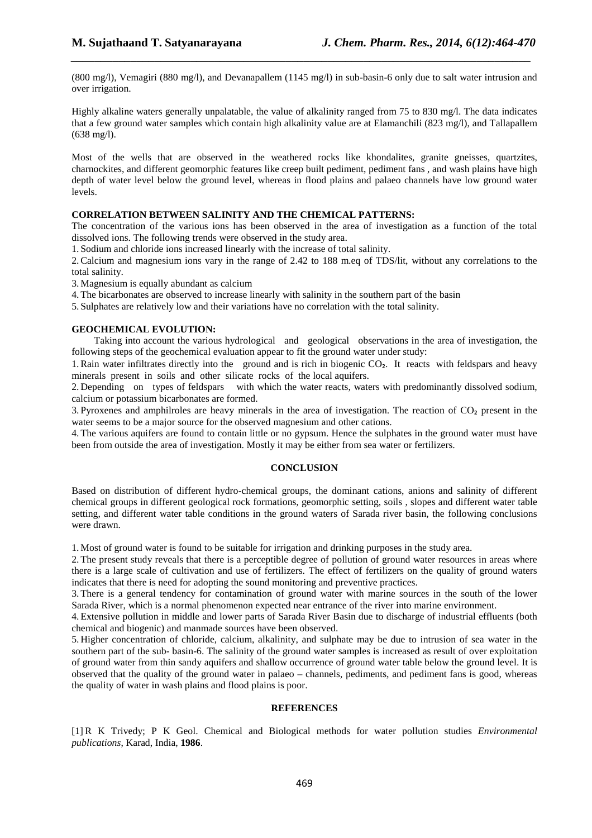(800 mg/l), Vemagiri (880 mg/l), and Devanapallem (1145 mg/l) in sub-basin-6 only due to salt water intrusion and over irrigation.

*\_\_\_\_\_\_\_\_\_\_\_\_\_\_\_\_\_\_\_\_\_\_\_\_\_\_\_\_\_\_\_\_\_\_\_\_\_\_\_\_\_\_\_\_\_\_\_\_\_\_\_\_\_\_\_\_\_\_\_\_\_\_\_\_\_\_\_\_\_\_\_\_\_\_\_\_\_*

Highly alkaline waters generally unpalatable, the value of alkalinity ranged from 75 to 830 mg/l. The data indicates that a few ground water samples which contain high alkalinity value are at Elamanchili (823 mg/l), and Tallapallem (638 mg/l).

Most of the wells that are observed in the weathered rocks like khondalites, granite gneisses, quartzites, charnockites, and different geomorphic features like creep built pediment, pediment fans , and wash plains have high depth of water level below the ground level, whereas in flood plains and palaeo channels have low ground water levels.

## **CORRELATION BETWEEN SALINITY AND THE CHEMICAL PATTERNS:**

The concentration of the various ions has been observed in the area of investigation as a function of the total dissolved ions. The following trends were observed in the study area.

1. Sodium and chloride ions increased linearly with the increase of total salinity.

2.Calcium and magnesium ions vary in the range of 2.42 to 188 m.eq of TDS/lit, without any correlations to the total salinity.

3.Magnesium is equally abundant as calcium

4.The bicarbonates are observed to increase linearly with salinity in the southern part of the basin

5. Sulphates are relatively low and their variations have no correlation with the total salinity.

## **GEOCHEMICAL EVOLUTION:**

 Taking into account the various hydrological and geological observations in the area of investigation, the following steps of the geochemical evaluation appear to fit the ground water under study:

1. Rain water infiltrates directly into the ground and is rich in biogenic CO<sub>2</sub>. It reacts with feldspars and heavy minerals present in soils and other silicate rocks of the local aquifers.

2. Depending on types of feldspars with which the water reacts, waters with predominantly dissolved sodium, calcium or potassium bicarbonates are formed.

3. Pyroxenes and amphilroles are heavy minerals in the area of investigation. The reaction of CO₂ present in the water seems to be a major source for the observed magnesium and other cations.

4.The various aquifers are found to contain little or no gypsum. Hence the sulphates in the ground water must have been from outside the area of investigation. Mostly it may be either from sea water or fertilizers.

## **CONCLUSION**

Based on distribution of different hydro-chemical groups, the dominant cations, anions and salinity of different chemical groups in different geological rock formations, geomorphic setting, soils , slopes and different water table setting, and different water table conditions in the ground waters of Sarada river basin, the following conclusions were drawn.

1.Most of ground water is found to be suitable for irrigation and drinking purposes in the study area.

2.The present study reveals that there is a perceptible degree of pollution of ground water resources in areas where there is a large scale of cultivation and use of fertilizers. The effect of fertilizers on the quality of ground waters indicates that there is need for adopting the sound monitoring and preventive practices.

3.There is a general tendency for contamination of ground water with marine sources in the south of the lower Sarada River, which is a normal phenomenon expected near entrance of the river into marine environment.

4.Extensive pollution in middle and lower parts of Sarada River Basin due to discharge of industrial effluents (both chemical and biogenic) and manmade sources have been observed.

5. Higher concentration of chloride, calcium, alkalinity, and sulphate may be due to intrusion of sea water in the southern part of the sub- basin-6. The salinity of the ground water samples is increased as result of over exploitation of ground water from thin sandy aquifers and shallow occurrence of ground water table below the ground level. It is observed that the quality of the ground water in palaeo – channels, pediments, and pediment fans is good, whereas the quality of water in wash plains and flood plains is poor.

#### **REFERENCES**

[1] R K Trivedy; P K Geol. Chemical and Biological methods for water pollution studies *Environmental publications*, Karad, India, **1986**.